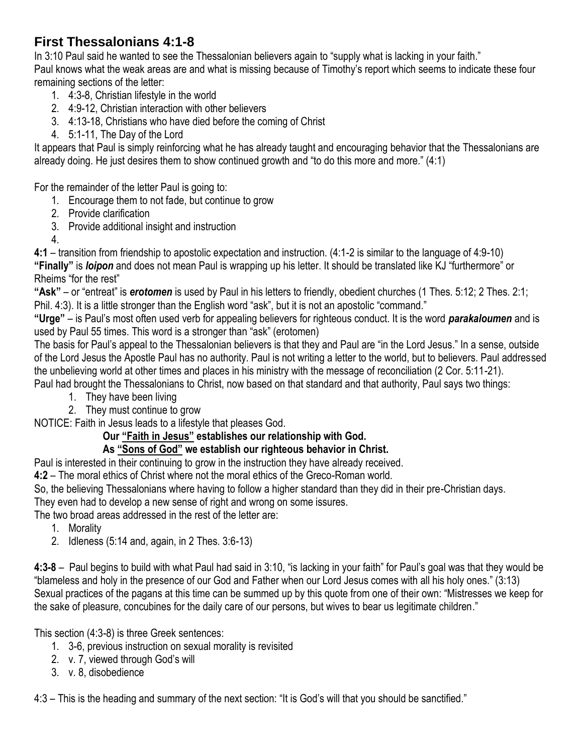## **First Thessalonians 4:1-8**

In 3:10 Paul said he wanted to see the Thessalonian believers again to "supply what is lacking in your faith." Paul knows what the weak areas are and what is missing because of Timothy's report which seems to indicate these four remaining sections of the letter:

- 1. 4:3-8, Christian lifestyle in the world
- 2. 4:9-12, Christian interaction with other believers
- 3. 4:13-18, Christians who have died before the coming of Christ
- 4. 5:1-11, The Day of the Lord

It appears that Paul is simply reinforcing what he has already taught and encouraging behavior that the Thessalonians are already doing. He just desires them to show continued growth and "to do this more and more." (4:1)

For the remainder of the letter Paul is going to:

- 1. Encourage them to not fade, but continue to grow
- 2. Provide clarification
- 3. Provide additional insight and instruction
- 4.

**4:1** – transition from friendship to apostolic expectation and instruction. (4:1-2 is similar to the language of 4:9-10) **"Finally"** is *loipon* and does not mean Paul is wrapping up his letter. It should be translated like KJ "furthermore" or Rheims "for the rest"

**"Ask"** – or "entreat" is *erotomen* is used by Paul in his letters to friendly, obedient churches (1 Thes. 5:12; 2 Thes. 2:1; Phil. 4:3). It is a little stronger than the English word "ask", but it is not an apostolic "command."

**"Urge"** – is Paul's most often used verb for appealing believers for righteous conduct. It is the word *parakaloumen* and is used by Paul 55 times. This word is a stronger than "ask" (erotomen)

The basis for Paul's appeal to the Thessalonian believers is that they and Paul are "in the Lord Jesus." In a sense, outside of the Lord Jesus the Apostle Paul has no authority. Paul is not writing a letter to the world, but to believers. Paul addressed the unbelieving world at other times and places in his ministry with the message of reconciliation (2 Cor. 5:11-21). Paul had brought the Thessalonians to Christ, now based on that standard and that authority, Paul says two things:

- 1. They have been living
- 2. They must continue to grow

NOTICE: Faith in Jesus leads to a lifestyle that pleases God.

## **Our "Faith in Jesus" establishes our relationship with God.**

## **As "Sons of God" we establish our righteous behavior in Christ.**

Paul is interested in their continuing to grow in the instruction they have already received.

**4:2** – The moral ethics of Christ where not the moral ethics of the Greco-Roman world.

So, the believing Thessalonians where having to follow a higher standard than they did in their pre-Christian days. They even had to develop a new sense of right and wrong on some issures.

The two broad areas addressed in the rest of the letter are:

- 1. Morality
- 2. Idleness (5:14 and, again, in 2 Thes. 3:6-13)

**4:3-8** – Paul begins to build with what Paul had said in 3:10, "is lacking in your faith" for Paul's goal was that they would be "blameless and holy in the presence of our God and Father when our Lord Jesus comes with all his holy ones." (3:13) Sexual practices of the pagans at this time can be summed up by this quote from one of their own: "Mistresses we keep for the sake of pleasure, concubines for the daily care of our persons, but wives to bear us legitimate children."

This section (4:3-8) is three Greek sentences:

- 1. 3-6, previous instruction on sexual morality is revisited
- 2. v. 7, viewed through God's will
- 3. v. 8, disobedience

4:3 – This is the heading and summary of the next section: "It is God's will that you should be sanctified."